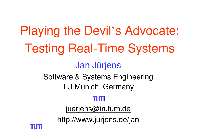# Playing the Devil's Advocate: Testing Real-Time SystemsJan JürjensSoftware & Systems EngineeringTU Munich, Germanymm juerjens@in.tum.de http://www.jurjens.de/jan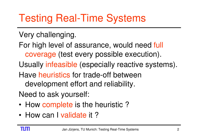# Testing Real-Time Systems

Very challenging.

For high level of assurance, would need full coverage (test every possible execution). Usually infeasible (especially reactive systems). Have heuristics for trade-off betweendevelopment effort and reliability.

Need to ask yourself:

- •How complete is the heuristic?
- •How can I validate it?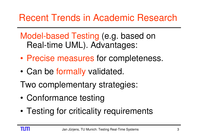#### Recent Trends in Academic Research

Model-based Testing (e.g. based on Real-time UML). Advantages:

- $\bullet$ Precise measures for completeness.
- •Can be formally validated.

Two complementary strategies:

- •Conformance testing
- •Testing for criticality requirements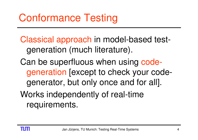## Conformance Testing

Classical approach in model-based testgeneration (much literature). Can be superfluous when using codegeneration [except to check your codegenerator, but only once and for all]. Works independently of real-timerequirements.

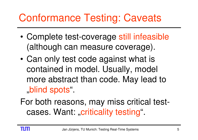### Conformance Testing: Caveats

- • Complete test-coverage still infeasible (although can measure coverage).
- • Can only test code against what is contained in model. Usually, model more abstract than code. May lead to "blind spots".
- For both reasons, may miss critical testcases. Want: "criticality testing".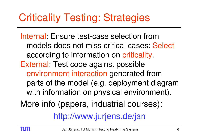### Criticality Testing: Strategies

Internal: Ensure test-case selection frommodels does not miss critical cases: Select according to information on criticality. External: Test code against possible environment interaction generated fromparts of the model (e.g. deployment diagramwith information on physical environment). More info (papers, industrial courses):

http://www.jurjens.de/jan

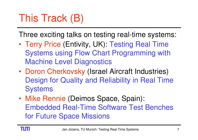# This Track (B)

Three exciting talks on testing real-time systems:

- • Terry Price (Entivity, UK): Testing Real Time Systems using Flow Chart Programming withMachine Level Diagnostics
- •Doron Cherkovsky (Israel Aircraft Industries) Design for Quality and Reliability in Real Time **Systems**
- •Mike Rennie (Deimos Space, Spain): Embedded Real-Time Software Test Benches for Future Space Missions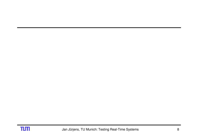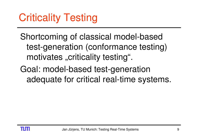

Shortcoming of classical model-based test-generation (conformance testing) motivates "criticality testing".

Goal: model-based test-generationadequate for critical real-time systems.

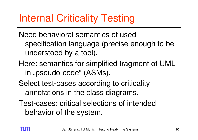# Internal Criticality Testing

Need behavioral semantics of used specification language (precise enough to beunderstood by a tool).

- Here: semantics for simplified fragment of UML in "pseudo-code" (ASMs).
- Select test-cases according to criticalityannotations in the class diagrams.
- Test-cases: critical selections of intendedbehavior of the system.